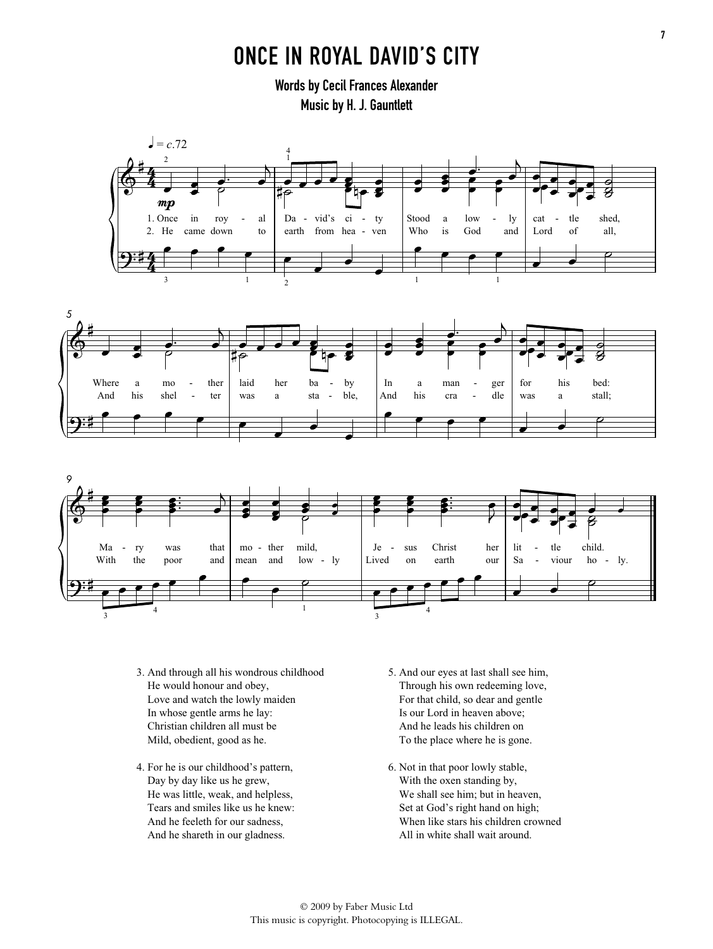## ONCE IN ROYAL DAVID'S CITY

Words by Cecil Frances Alexander Music by H. J. Gauntlett







- 3. And through all his wondrous childhood He would honour and obey, Love and watch the lowly maiden In whose gentle arms he lay: Christian children all must be Mild, obedient, good as he.
- 4. For he is our childhood's pattern, Day by day like us he grew, He was little, weak, and helpless, Tears and smiles like us he knew: And he feeleth for our sadness, And he shareth in our gladness.
- 5. And our eyes at last shall see him, Through his own redeeming love, For that child, so dear and gentle Is our Lord in heaven above; And he leads his children on To the place where he is gone.
- 6. Not in that poor lowly stable, With the oxen standing by, We shall see him; but in heaven, Set at God's right hand on high; When like stars his children crowned All in white shall wait around.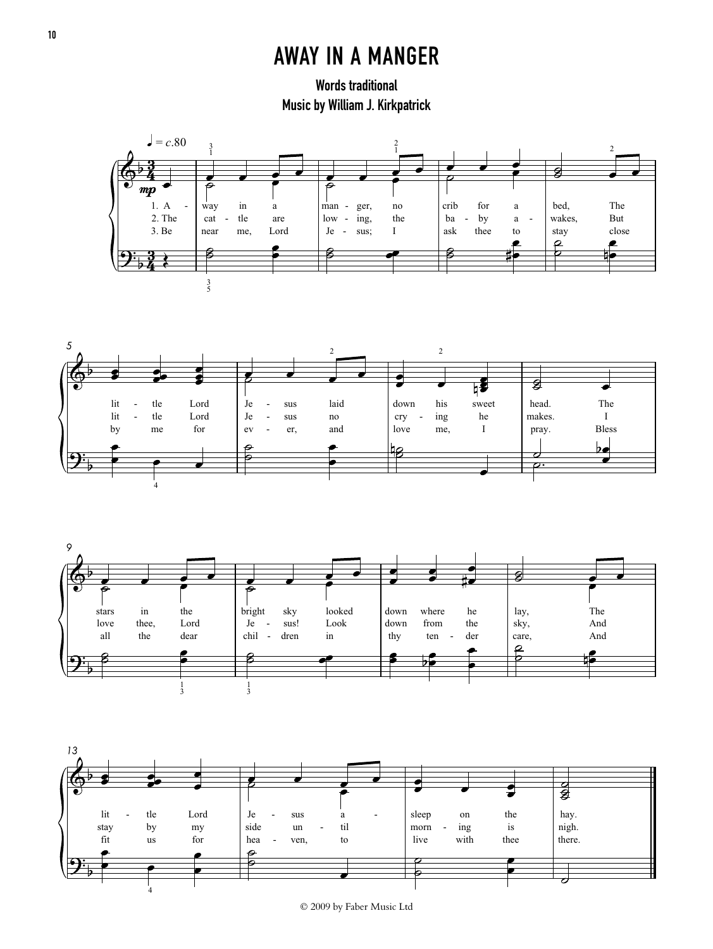## AWAY IN A MANGER

Words traditional Music by William J. Kirkpatrick